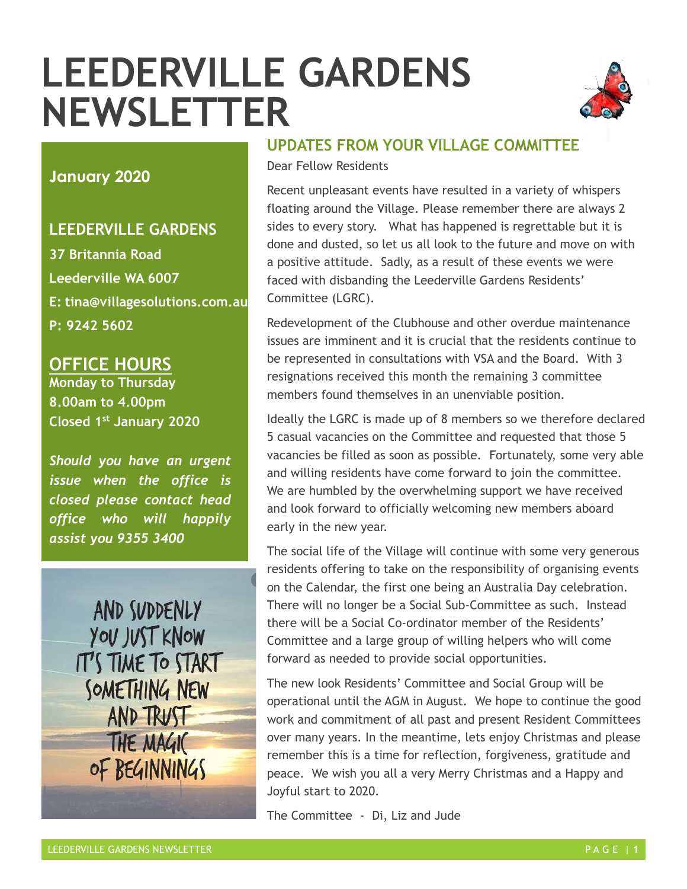# **LEEDERVILLE GARDENS NEWSLETTER**



#### **January 2020**

#### **LEEDERVILLE GARDENS**

**37 Britannia Road Leederville WA 6007 E: tina@villagesolutions.com.au P: 9242 5602** 

#### **OFFICE HOURS**

**Monday to Thursday 8.00am to 4.00pm Closed 1st January 2020**

 *Should you have an urgent issue when the office is closed please contact head office who will happily assist you 9355 3400*

AND SUDDENLY YOU JUST KNOW IT'S TIME TO START SOMETHING NEW AND TRUST THE MAGIC OF BEGINNINGS

#### **UPDATES FROM YOUR VILLAGE COMMITTEE**

Dear Fellow Residents

Recent unpleasant events have resulted in a variety of whispers floating around the Village. Please remember there are always 2 sides to every story. What has happened is regrettable but it is done and dusted, so let us all look to the future and move on with a positive attitude. Sadly, as a result of these events we were faced with disbanding the Leederville Gardens Residents' Committee (LGRC).

Redevelopment of the Clubhouse and other overdue maintenance issues are imminent and it is crucial that the residents continue to be represented in consultations with VSA and the Board. With 3 resignations received this month the remaining 3 committee members found themselves in an unenviable position.

Ideally the LGRC is made up of 8 members so we therefore declared 5 casual vacancies on the Committee and requested that those 5 vacancies be filled as soon as possible. Fortunately, some very able and willing residents have come forward to join the committee. We are humbled by the overwhelming support we have received and look forward to officially welcoming new members aboard early in the new year.

The social life of the Village will continue with some very generous residents offering to take on the responsibility of organising events on the Calendar, the first one being an Australia Day celebration. There will no longer be a Social Sub-Committee as such. Instead there will be a Social Co-ordinator member of the Residents' Committee and a large group of willing helpers who will come forward as needed to provide social opportunities.

The new look Residents' Committee and Social Group will be operational until the AGM in August. We hope to continue the good work and commitment of all past and present Resident Committees over many years. In the meantime, lets enjoy Christmas and please remember this is a time for reflection, forgiveness, gratitude and peace. We wish you all a very Merry Christmas and a Happy and Joyful start to 2020.

The Committee - Di, Liz and Jude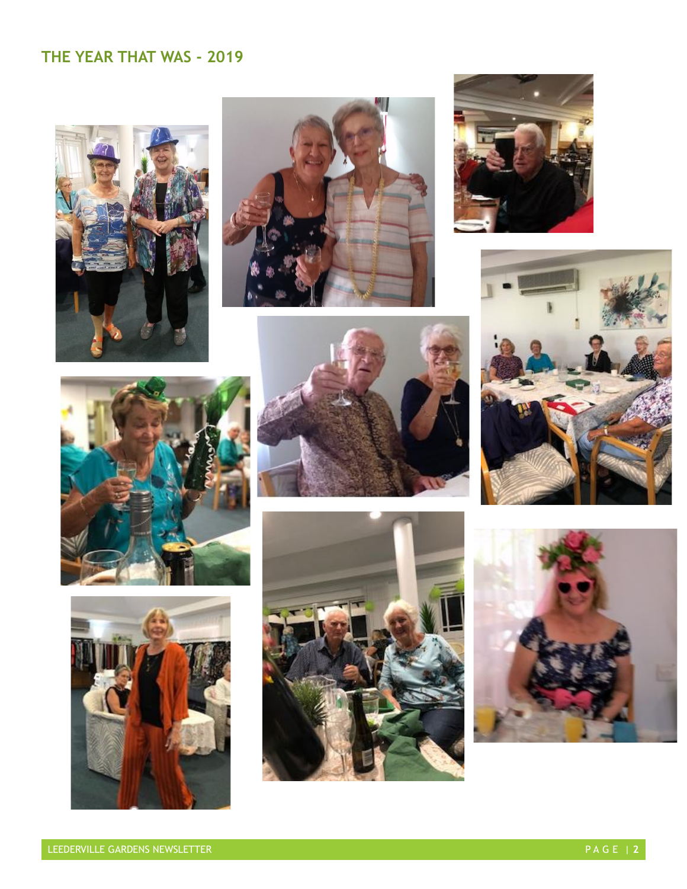# **THE YEAR THAT WAS - 2019**

















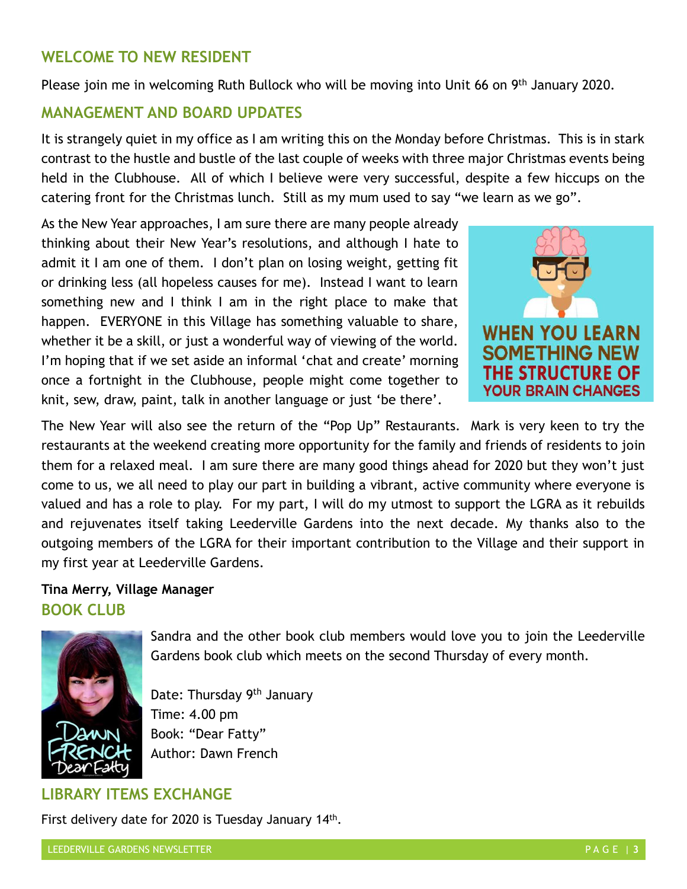### **WELCOME TO NEW RESIDENT**

Please join me in welcoming Ruth Bullock who will be moving into Unit 66 on 9<sup>th</sup> January 2020.

#### **MANAGEMENT AND BOARD UPDATES**

It is strangely quiet in my office as I am writing this on the Monday before Christmas. This is in stark contrast to the hustle and bustle of the last couple of weeks with three major Christmas events being held in the Clubhouse. All of which I believe were very successful, despite a few hiccups on the catering front for the Christmas lunch. Still as my mum used to say "we learn as we go".

As the New Year approaches, I am sure there are many people already thinking about their New Year's resolutions, and although I hate to admit it I am one of them. I don't plan on losing weight, getting fit or drinking less (all hopeless causes for me). Instead I want to learn something new and I think I am in the right place to make that happen. EVERYONE in this Village has something valuable to share, whether it be a skill, or just a wonderful way of viewing of the world. I'm hoping that if we set aside an informal 'chat and create' morning once a fortnight in the Clubhouse, people might come together to knit, sew, draw, paint, talk in another language or just 'be there'.



The New Year will also see the return of the "Pop Up" Restaurants. Mark is very keen to try the restaurants at the weekend creating more opportunity for the family and friends of residents to join them for a relaxed meal. I am sure there are many good things ahead for 2020 but they won't just come to us, we all need to play our part in building a vibrant, active community where everyone is valued and has a role to play. For my part, I will do my utmost to support the LGRA as it rebuilds and rejuvenates itself taking Leederville Gardens into the next decade. My thanks also to the outgoing members of the LGRA for their important contribution to the Village and their support in my first year at Leederville Gardens.

#### **Tina Merry, Village Manager BOOK CLUB**



Sandra and the other book club members would love you to join the Leederville Gardens book club which meets on the second Thursday of every month.

Date: Thursday 9<sup>th</sup> January Time: 4.00 pm Book: "Dear Fatty" Author: Dawn French

#### **LIBRARY ITEMS EXCHANGE**

First delivery date for 2020 is Tuesday January 14<sup>th</sup>.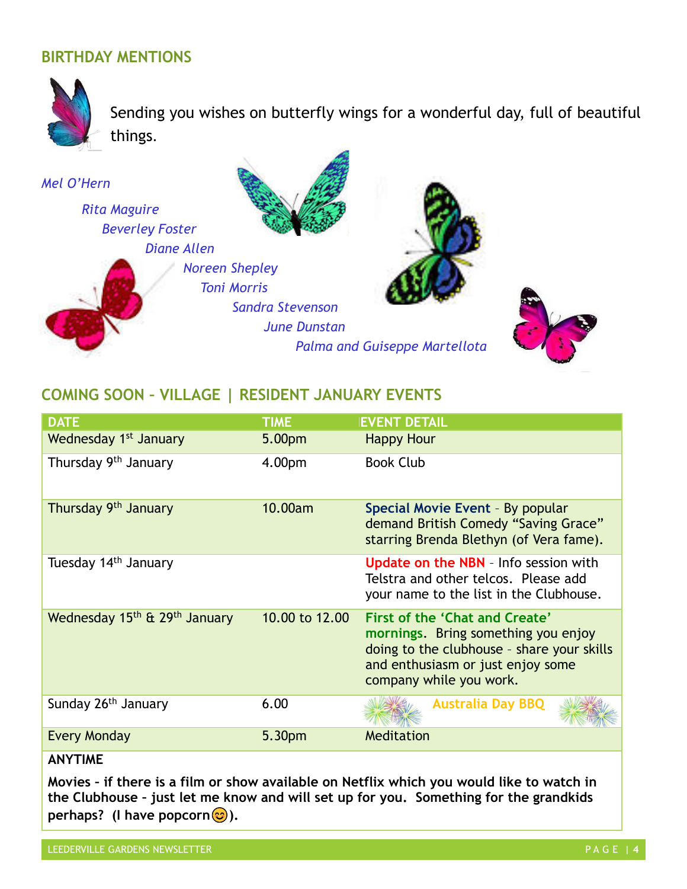## **BIRTHDAY MENTIONS**



Sending you wishes on butterfly wings for a wonderful day, full of beautiful things.



## **COMING SOON – VILLAGE | RESIDENT JANUARY EVENTS**

| <b>DATE</b>                                           | <b>TIME</b>    | <b>EVENT DETAIL</b>                                                                                                                                                                 |
|-------------------------------------------------------|----------------|-------------------------------------------------------------------------------------------------------------------------------------------------------------------------------------|
| Wednesday 1 <sup>st</sup> January                     | 5.00pm         | <b>Happy Hour</b>                                                                                                                                                                   |
| Thursday 9th January                                  | 4.00pm         | <b>Book Club</b>                                                                                                                                                                    |
| Thursday 9th January                                  | 10.00am        | Special Movie Event - By popular<br>demand British Comedy "Saving Grace"<br>starring Brenda Blethyn (of Vera fame).                                                                 |
| Tuesday 14 <sup>th</sup> January                      |                | <b>Update on the NBN</b> - Info session with<br>Telstra and other telcos. Please add<br>your name to the list in the Clubhouse.                                                     |
| Wednesday 15 <sup>th</sup> & 29 <sup>th</sup> January | 10.00 to 12.00 | First of the 'Chat and Create'<br>mornings. Bring something you enjoy<br>doing to the clubhouse - share your skills<br>and enthusiasm or just enjoy some<br>company while you work. |
| Sunday 26 <sup>th</sup> January                       | 6.00           | <b>Australia Day BBQ</b>                                                                                                                                                            |
| Every Monday                                          | 5.30pm         | Meditation                                                                                                                                                                          |
| <b>ANVTIME</b>                                        |                |                                                                                                                                                                                     |

#### **ANYTIME**

**Movies – if there is a film or show available on Netflix which you would like to watch in the Clubhouse – just let me know and will set up for you. Something for the grandkids perhaps?** (I have popcorn<sup>(2)</sup>).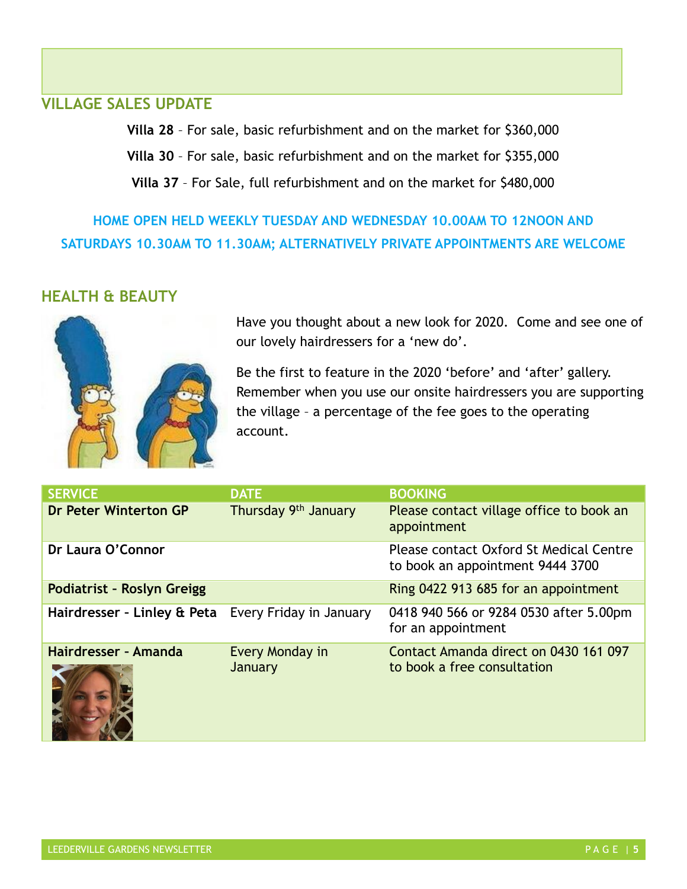#### **VILLAGE SALES UPDATE**

**Villa 28** – For sale, basic refurbishment and on the market for \$360,000

**Villa 30** – For sale, basic refurbishment and on the market for \$355,000

**Villa 37** – For Sale, full refurbishment and on the market for \$480,000

**HOME OPEN HELD WEEKLY TUESDAY AND WEDNESDAY 10.00AM TO 12NOON AND SATURDAYS 10.30AM TO 11.30AM; ALTERNATIVELY PRIVATE APPOINTMENTS ARE WELCOME**

## **HEALTH & BEAUTY**



Have you thought about a new look for 2020. Come and see one of our lovely hairdressers for a 'new do'.

Be the first to feature in the 2020 'before' and 'after' gallery. Remember when you use our onsite hairdressers you are supporting the village – a percentage of the fee goes to the operating account.

| <b>SERVICE</b>                                      | <b>DATE</b>                | <b>BOOKING</b>                                                              |
|-----------------------------------------------------|----------------------------|-----------------------------------------------------------------------------|
| Dr Peter Winterton GP                               | Thursday 9th January       | Please contact village office to book an<br>appointment                     |
| Dr Laura O'Connor                                   |                            | Please contact Oxford St Medical Centre<br>to book an appointment 9444 3700 |
| Podiatrist - Roslyn Greigg                          |                            | Ring 0422 913 685 for an appointment                                        |
| Hairdresser - Linley & Peta Every Friday in January |                            | 0418 940 566 or 9284 0530 after 5.00pm<br>for an appointment                |
| Hairdresser - Amanda                                | Every Monday in<br>January | Contact Amanda direct on 0430 161 097<br>to book a free consultation        |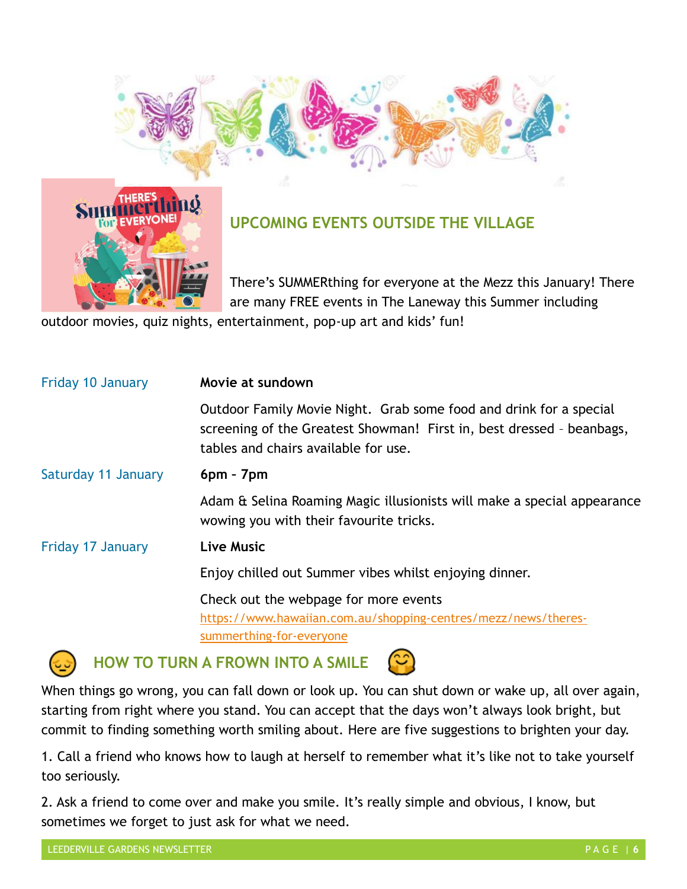



# **UPCOMING EVENTS OUTSIDE THE VILLAGE**

There's SUMMERthing for everyone at the Mezz this January! There are many FREE events in The Laneway this Summer including

outdoor movies, quiz nights, entertainment, pop-up art and kids' fun!

| <b>Friday 10 January</b> | Movie at sundown                                                                                                                                                                    |  |  |
|--------------------------|-------------------------------------------------------------------------------------------------------------------------------------------------------------------------------------|--|--|
|                          | Outdoor Family Movie Night. Grab some food and drink for a special<br>screening of the Greatest Showman! First in, best dressed - beanbags,<br>tables and chairs available for use. |  |  |
| Saturday 11 January      | $6pm - 7pm$                                                                                                                                                                         |  |  |
|                          | Adam & Selina Roaming Magic illusionists will make a special appearance<br>wowing you with their favourite tricks.                                                                  |  |  |
| Friday 17 January        | <b>Live Music</b>                                                                                                                                                                   |  |  |
|                          | Enjoy chilled out Summer vibes whilst enjoying dinner.                                                                                                                              |  |  |
|                          | Check out the webpage for more events                                                                                                                                               |  |  |
|                          | https://www.hawaiian.com.au/shopping-centres/mezz/news/theres-<br>summerthing-for-everyone                                                                                          |  |  |
|                          |                                                                                                                                                                                     |  |  |



**HOW TO TURN A FROWN INTO A SMILE**



When things go wrong, you can fall down or look up. You can shut down or wake up, all over again, starting from right where you stand. You can accept that the days won't always look bright, but commit to finding something worth smiling about. Here are five suggestions to brighten your day.

1. Call a friend who knows how to laugh at herself to remember what it's like not to take yourself too seriously.

2. Ask a friend to come over and make you smile. It's really simple and obvious, I know, but sometimes we forget to just ask for what we need.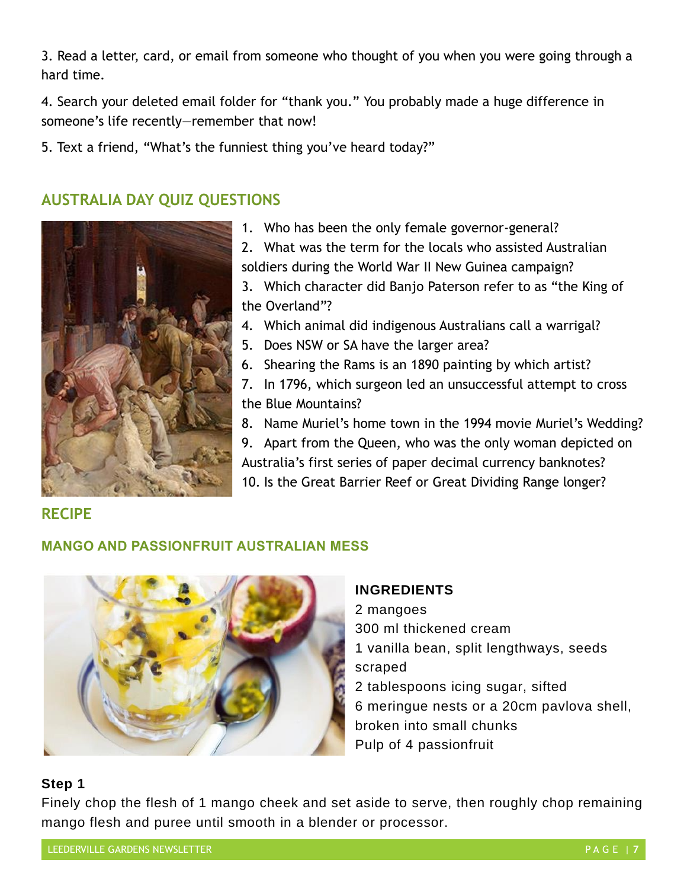3. Read a letter, card, or email from someone who thought of you when you were going through a hard time.

4. Search your deleted email folder for "thank you." You probably made a huge difference in someone's life recently—remember that now!

5. Text a friend, "What's the funniest thing you've heard today?"

## **AUSTRALIA DAY QUIZ QUESTIONS**



1. Who has been the only female governor-general?

2. What was the term for the locals who assisted Australian soldiers during the World War II New Guinea campaign?

3. Which character did Banjo Paterson refer to as "the King of the Overland"?

4. Which animal did indigenous Australians call a warrigal?

- 5. Does NSW or SA have the larger area?
- 6. Shearing the Rams is an 1890 painting by which artist?

7. In 1796, which surgeon led an unsuccessful attempt to cross the Blue Mountains?

8. Name Muriel's home town in the 1994 movie Muriel's Wedding?

9. Apart from the Queen, who was the only woman depicted on Australia's first series of paper decimal currency banknotes? 10. Is the Great Barrier Reef or Great Dividing Range longer?

# **RECIPE**

#### **MANGO AND PASSIONFRUIT AUSTRALIAN MESS**



#### **INGREDIENTS**

2 mangoes 300 ml thickened cream 1 vanilla bean, split lengthways, seeds scraped 2 tablespoons icing sugar, sifted 6 meringue nests or a 20cm pavlova shell, broken into small chunks Pulp of 4 passionfruit

#### **Step 1**

Finely chop the flesh of 1 mango cheek and set aside to serve, then roughly chop remaining mango flesh and puree until smooth in a blender or processor.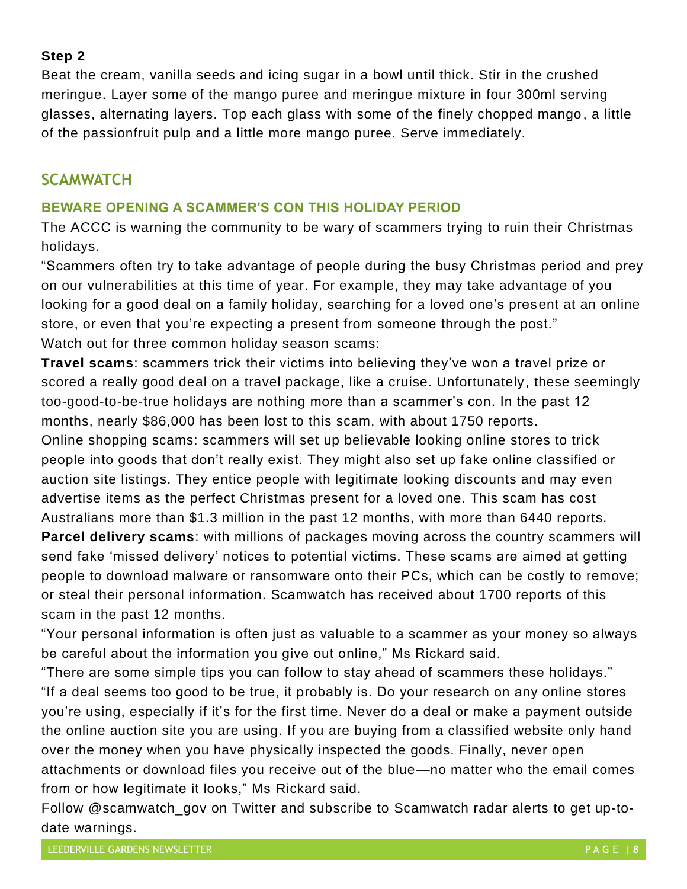#### **Step 2**

Beat the cream, vanilla seeds and icing sugar in a bowl until thick. Stir in the crushed meringue. Layer some of the mango puree and meringue mixture in four 300ml serving glasses, alternating layers. Top each glass with some of the finely chopped mango, a little of the passionfruit pulp and a little more mango puree. Serve immediately.

### **SCAMWATCH**

#### **BEWARE OPENING A SCAMMER'S CON THIS HOLIDAY PERIOD**

The ACCC is warning the community to be wary of scammers trying to ruin their Christmas holidays.

"Scammers often try to take advantage of people during the busy Christmas period and prey on our vulnerabilities at this time of year. For example, they may take advantage of you looking for a good deal on a family holiday, searching for a loved one's present at an online store, or even that you're expecting a present from someone through the post." Watch out for three common holiday season scams:

**Travel scams**: scammers trick their victims into believing they've won a travel prize or scored a really good deal on a travel package, like a cruise. Unfortunately, these seemingly too-good-to-be-true holidays are nothing more than a scammer's con. In the past 12 months, nearly \$86,000 has been lost to this scam, with about 1750 reports.

Online shopping scams: scammers will set up believable looking online stores to trick people into goods that don't really exist. They might also set up fake online classified or auction site listings. They entice people with legitimate looking discounts and may even advertise items as the perfect Christmas present for a loved one. This scam has cost Australians more than \$1.3 million in the past 12 months, with more than 6440 reports. **Parcel delivery scams**: with millions of packages moving across the country scammers will send fake 'missed delivery' notices to potential victims. These scams are aimed at getting people to download malware or ransomware onto their PCs, which can be costly to remove; or steal their personal information. Scamwatch has received about 1700 reports of this scam in the past 12 months.

"Your personal information is often just as valuable to a scammer as your money so always be careful about the information you give out online," Ms Rickard said.

"There are some simple tips you can follow to stay ahead of scammers these holidays." "If a deal seems too good to be true, it probably is. Do your research on any online stores you're using, especially if it's for the first time. Never do a deal or make a payment outside the online auction site you are using. If you are buying from a classified website only hand over the money when you have physically inspected the goods. Finally, never open attachments or download files you receive out of the blue—no matter who the email comes from or how legitimate it looks," Ms Rickard said.

Follow [@scamwatch\\_gov](https://twitter.com/scamwatch_gov?lang=en) on Twitter and subscribe to [Scamwatch radar alerts](https://www.scamwatch.gov.au/news/subscribe-to-newsletter) to get up-todate warnings.